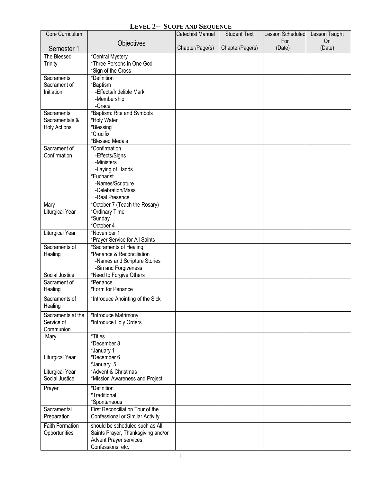## **LEVEL 2-- SCOPE AND SEQUENCE**

| Core Curriculum        |                                                          | <b>Catechist Manual</b> | <b>Student Text</b> | Lesson Scheduled | Lesson Taught |
|------------------------|----------------------------------------------------------|-------------------------|---------------------|------------------|---------------|
|                        | Objectives                                               |                         |                     | For              | <b>On</b>     |
| Semester 1             |                                                          | Chapter/Page(s)         | Chapter/Page(s)     | (Date)           | (Date)        |
| The Blessed            | *Central Mystery                                         |                         |                     |                  |               |
| <b>Trinity</b>         | *Three Persons in One God<br>*Sign of the Cross          |                         |                     |                  |               |
| Sacraments             | *Definition                                              |                         |                     |                  |               |
| Sacrament of           | *Baptism                                                 |                         |                     |                  |               |
| Initiation             | -Effects/Indelible Mark                                  |                         |                     |                  |               |
|                        | -Membership                                              |                         |                     |                  |               |
|                        | -Grace                                                   |                         |                     |                  |               |
| Sacraments             | *Baptism: Rite and Symbols                               |                         |                     |                  |               |
| Sacramentals &         | *Holy Water<br>*Blessing                                 |                         |                     |                  |               |
| <b>Holy Actions</b>    | *Crucifix                                                |                         |                     |                  |               |
|                        | *Blessed Medals                                          |                         |                     |                  |               |
| Sacrament of           | *Confirmation                                            |                         |                     |                  |               |
| Confirmation           | -Effects/Signs                                           |                         |                     |                  |               |
|                        | -Ministers                                               |                         |                     |                  |               |
|                        | -Laying of Hands                                         |                         |                     |                  |               |
|                        | *Eucharist                                               |                         |                     |                  |               |
|                        | -Names/Scripture<br>-Celebration/Mass                    |                         |                     |                  |               |
|                        | -Real Presence                                           |                         |                     |                  |               |
| Mary                   | *October 7 (Teach the Rosary)                            |                         |                     |                  |               |
| Liturgical Year        | *Ordinary Time                                           |                         |                     |                  |               |
|                        | *Sunday                                                  |                         |                     |                  |               |
|                        | *October 4                                               |                         |                     |                  |               |
| Liturgical Year        | *November 1                                              |                         |                     |                  |               |
| Sacraments of          | *Prayer Service for All Saints<br>*Sacraments of Healing |                         |                     |                  |               |
| Healing                | *Penance & Reconciliation                                |                         |                     |                  |               |
|                        | -Names and Scripture Stories                             |                         |                     |                  |               |
|                        | -Sin and Forgiveness                                     |                         |                     |                  |               |
| Social Justice         | *Need to Forgive Others                                  |                         |                     |                  |               |
| Sacrament of           | *Penance                                                 |                         |                     |                  |               |
| Healing                | *Form for Penance                                        |                         |                     |                  |               |
| Sacraments of          | *Introduce Anointing of the Sick                         |                         |                     |                  |               |
| Healing                |                                                          |                         |                     |                  |               |
| Sacraments at the      | *Introduce Matrimony                                     |                         |                     |                  |               |
| Service of             | *Introduce Holy Orders                                   |                         |                     |                  |               |
| Communion<br>Mary      | *Titles                                                  |                         |                     |                  |               |
|                        | *December 8                                              |                         |                     |                  |               |
|                        | *January 1                                               |                         |                     |                  |               |
| Liturgical Year        | *December 6                                              |                         |                     |                  |               |
|                        | *January 5                                               |                         |                     |                  |               |
| Liturgical Year        | *Advent & Christmas                                      |                         |                     |                  |               |
| Social Justice         | *Mission Awareness and Project                           |                         |                     |                  |               |
| Prayer                 | *Definition                                              |                         |                     |                  |               |
|                        | <i>*Traditional</i>                                      |                         |                     |                  |               |
| Sacramental            | *Spontaneous<br>First Reconciliation Tour of the         |                         |                     |                  |               |
| Preparation            | Confessional or Similar Activity                         |                         |                     |                  |               |
| <b>Faith Formation</b> | should be scheduled such as All                          |                         |                     |                  |               |
| Opportunities          | Saints Prayer, Thanksgiving and/or                       |                         |                     |                  |               |
|                        | Advent Prayer services;                                  |                         |                     |                  |               |
|                        | Confessions, etc.                                        |                         |                     |                  |               |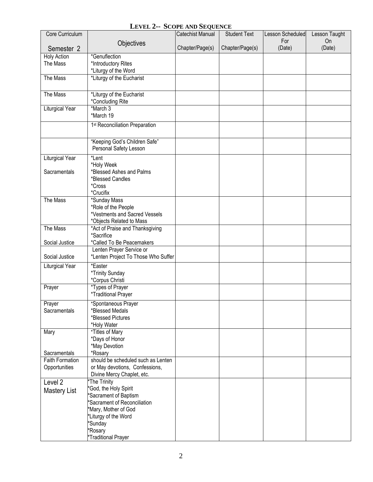## **LEVEL 2-- SCOPE AND SEQUENCE**

| Core Curriculum        |                                                       | <b>Catechist Manual</b> | <b>Student Text</b> | Lesson Scheduled | Lesson Taught |
|------------------------|-------------------------------------------------------|-------------------------|---------------------|------------------|---------------|
|                        | Objectives                                            |                         |                     | For              | <b>On</b>     |
| Semester 2             |                                                       | Chapter/Page(s)         | Chapter/Page(s)     | (Date)           | (Date)        |
| <b>Holy Action</b>     | *Genuflection                                         |                         |                     |                  |               |
| The Mass               | *Introductory Rites                                   |                         |                     |                  |               |
|                        | *Liturgy of the Word                                  |                         |                     |                  |               |
| The Mass               | *Liturgy of the Eucharist                             |                         |                     |                  |               |
|                        |                                                       |                         |                     |                  |               |
| The Mass               | *Liturgy of the Eucharist<br>*Concluding Rite         |                         |                     |                  |               |
| <b>Liturgical Year</b> | *March 3                                              |                         |                     |                  |               |
|                        | *March 19                                             |                         |                     |                  |               |
|                        | 1st Reconciliation Preparation                        |                         |                     |                  |               |
|                        |                                                       |                         |                     |                  |               |
|                        | "Keeping God's Children Safe"                         |                         |                     |                  |               |
|                        | Personal Safety Lesson                                |                         |                     |                  |               |
| Liturgical Year        | *Lent                                                 |                         |                     |                  |               |
|                        | *Holy Week                                            |                         |                     |                  |               |
| Sacramentals           | *Blessed Ashes and Palms                              |                         |                     |                  |               |
|                        | *Blessed Candles<br>*Cross                            |                         |                     |                  |               |
|                        | *Crucifix                                             |                         |                     |                  |               |
| The Mass               | *Sunday Mass                                          |                         |                     |                  |               |
|                        | *Role of the People                                   |                         |                     |                  |               |
|                        | *Vestments and Sacred Vessels                         |                         |                     |                  |               |
|                        | *Objects Related to Mass                              |                         |                     |                  |               |
| The Mass               | *Act of Praise and Thanksgiving                       |                         |                     |                  |               |
|                        | *Sacrifice                                            |                         |                     |                  |               |
| Social Justice         | *Called To Be Peacemakers<br>Lenten Prayer Service or |                         |                     |                  |               |
| Social Justice         | *Lenten Project To Those Who Suffer                   |                         |                     |                  |               |
| Liturgical Year        | *Easter                                               |                         |                     |                  |               |
|                        | *Trinity Sunday                                       |                         |                     |                  |               |
|                        | *Corpus Christi                                       |                         |                     |                  |               |
| Prayer                 | *Types of Prayer                                      |                         |                     |                  |               |
|                        | *Traditional Prayer                                   |                         |                     |                  |               |
| Prayer                 | *Spontaneous Prayer                                   |                         |                     |                  |               |
| Sacramentals           | *Blessed Medals                                       |                         |                     |                  |               |
|                        | *Blessed Pictures                                     |                         |                     |                  |               |
| Mary                   | *Holy Water<br>*Titles of Mary                        |                         |                     |                  |               |
|                        | *Days of Honor                                        |                         |                     |                  |               |
|                        | *May Devotion                                         |                         |                     |                  |               |
| Sacramentals           | *Rosary                                               |                         |                     |                  |               |
| <b>Faith Formation</b> | should be scheduled such as Lenten                    |                         |                     |                  |               |
| Opportunities          | or May devotions, Confessions,                        |                         |                     |                  |               |
|                        | Divine Mercy Chaplet, etc.                            |                         |                     |                  |               |
| Level <sub>2</sub>     | The Trinity                                           |                         |                     |                  |               |
| <b>Mastery List</b>    | *God, the Holy Spirit<br>*Sacrament of Baptism        |                         |                     |                  |               |
|                        | 'Sacrament of Reconciliation                          |                         |                     |                  |               |
|                        | *Mary, Mother of God                                  |                         |                     |                  |               |
|                        | *Liturgy of the Word                                  |                         |                     |                  |               |
|                        | *Sunday                                               |                         |                     |                  |               |
|                        | *Rosary                                               |                         |                     |                  |               |
|                        | *Traditional Prayer                                   |                         |                     |                  |               |